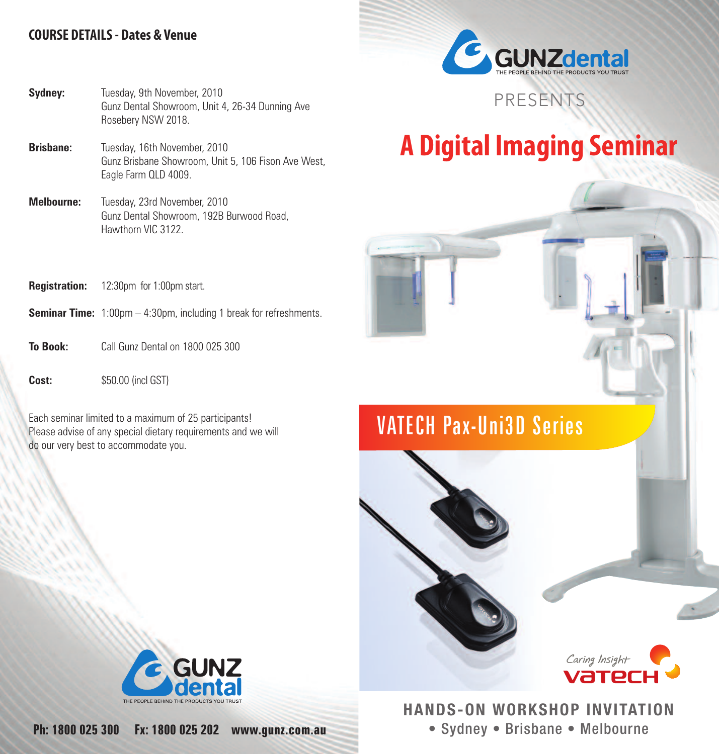#### **COURSE DETAILS- Dates & Venue**



#### **Sydney:** Tuesday, 9th November, 2010 Gunz Dental Showroom, Unit 4, 26-34 Dunning Ave Rosebery NSW 2018.

- **Brisbane:** Tuesday, 16th November, 2010 Gunz Brisbane Showroom, Unit 5, 106 Fison Ave West, Eagle Farm QLD 4009.
- **Melbourne:** Tuesday, 23rd November, 2010 Gunz Dental Showroom, 192B Burwood Road, Hawthorn VIC 3122.

# **A Digital Imaging Seminar**

PRESENTS

#### **Registration:** 12:30pm for 1:00pm start.

- **Seminar Time:** 1:00pm 4:30pm, including 1 break for refreshments.
- **To Book:** Call Gunz Dental on 1800 025 300

**Cost:**  $$50.00$  (incl GST)

Each seminar limited to a maximum of 25 participants! Please advise of any special dietary requirements and we will do our very best to accommodate you.

## VATECH Pax-Uni3D Series





## **HANDS-ON WORKSHOP INVITATION** • Sydney • Brisbane • Melbourne